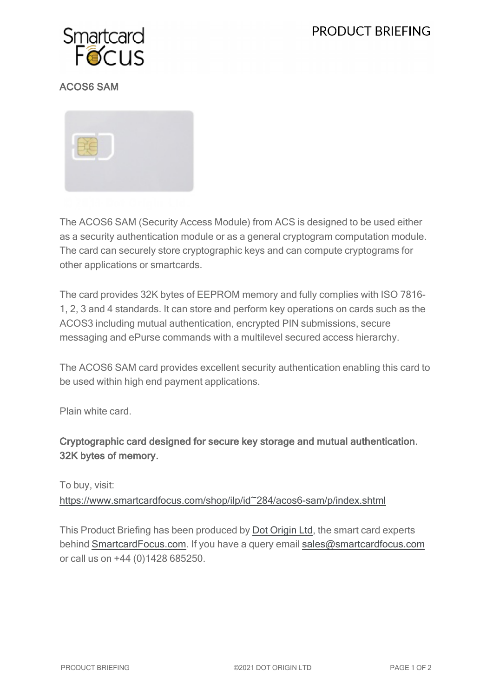# **PRODUCT BRIEFING**



## ACOS6 SAM



The ACOS6 SAM (Security Access Module) from ACS is designed to be used either as a security authentication module or as a general cryptogram computation module. The card can securely store cryptographic keys and can compute cryptograms for other applications or smartcards.

The card provides 32K bytes of EEPROM memory and fully complies with ISO 7816- 1, 2, 3 and 4 standards. It can store and perform key operations on cards such as the ACOS3 including mutual authentication, encrypted PIN submissions, secure messaging and ePurse commands with a multilevel secured access hierarchy.

The ACOS6 SAM card provides excellent security authentication enabling this card to be used within high end payment applications.

Plain white card.

## Cryptographic card designed for secure key storage and mutual authentication. 32K bytes of memory.

To buy, visit:

[https://www.smartcardfocus.com/shop/ilp/id~284/acos6-sam/p/index.shtml](https://www.smartcardfocus.com/shop/ilp/id~284/acos6-sam/p/index.shtml?utm_source=download&utm_medium=pdf&utm_campaign=scf-product-pdf)

This Product Briefing has been produced by Dot [Origin](https://www.dotorigin.com/) Ltd, the smart card experts behind [SmartcardFocus.com.](https://www.smartcardfocus.com/?utm_source=download&utm_medium=pdf&utm_campaign=scf-product-pdf) If you have a query email [sales@smartcardfocus.com](mailto:sales@smartcardfocus.com?subject=Product Briefing query) or call us on +44 (0)1428 685250.